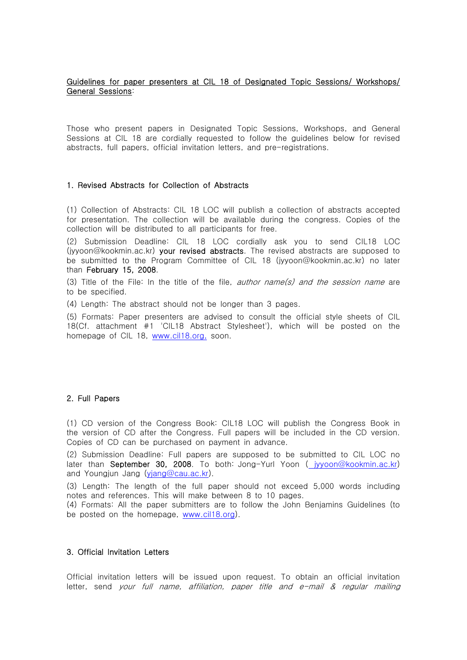# Guidelines for paper presenters at CIL 18 of Designated Topic Sessions/ Workshops/ General Sessions:

Those who present papers in Designated Topic Sessions, Workshops, and General Sessions at CIL 18 are cordially requested to follow the guidelines below for revised abstracts, full papers, official invitation letters, and pre-registrations.

### 1. Revised Abstracts for Collection of Abstracts

(1) Collection of Abstracts: CIL 18 LOC will publish a collection of abstracts accepted for presentation. The collection will be available during the congress. Copies of the collection will be distributed to all participants for free.

(2) Submission Deadline: CIL 18 LOC cordially ask you to send CIL18 LOC (jyyoon@kookmin.ac.kr) your revised abstracts. The revised abstracts are supposed to be submitted to the Program Committee of CIL 18 (jyyoon@kookmin.ac.kr) no later than February 15, 2008.

(3) Title of the File: In the title of the file, *author name(s) and the session name* are to be specified.

(4) Length: The abstract should not be longer than 3 pages.

(5) Formats: Paper presenters are advised to consult the official style sheets of CIL 18(Cf. attachment #1 'CIL18 Abstract Stylesheet'), which will be posted on the homepage of CIL 18, www.cil18.org, soon.

# 2. Full Papers

(1) CD version of the Congress Book: CIL18 LOC will publish the Congress Book in the version of CD after the Congress. Full papers will be included in the CD version. Copies of CD can be purchased on payment in advance.

(2) Submission Deadline: Full papers are supposed to be submitted to CIL LOC no later than **September 30, 2008**. To both: Jong-Yurl Yoon (  $iv$ yoon@kookmin.ac.kr) and Youngjun Jang (yjang@cau.ac.kr).

(3) Length: The length of the full paper should not exceed 5,000 words including notes and references. This will make between 8 to 10 pages.

(4) Formats: All the paper submitters are to follow the John Benjamins Guidelines (to be posted on the homepage, www.cil18.org).

#### 3. Official Invitation Letters

Official invitation letters will be issued upon request. To obtain an official invitation letter, send your full name, affiliation, paper title and e-mail & regular mailing